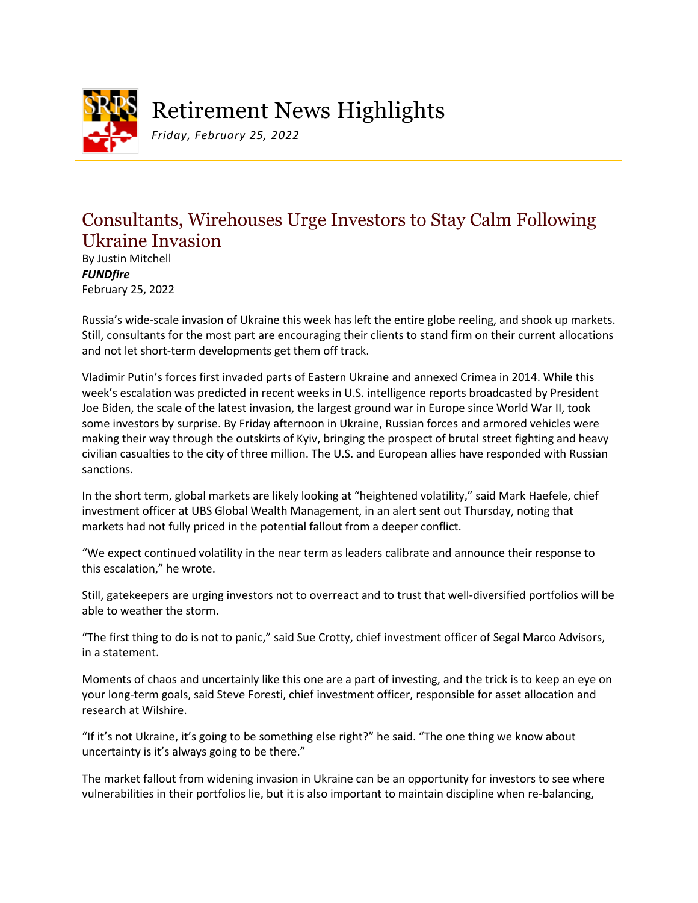

Retirement News Highlights

*Friday, February 25, 2022*

## Consultants, Wirehouses Urge Investors to Stay Calm Following Ukraine Invasion

By Justin Mitchell *FUNDfire* February 25, 2022

Russia's wide-scale invasion of Ukraine this week has left the entire globe reeling, and shook up markets. Still, consultants for the most part are encouraging their clients to stand firm on their current allocations and not let short-term developments get them off track.

Vladimir Putin's forces first invaded parts of Eastern Ukraine and annexed Crimea in 2014. While this week's escalation was predicted in recent weeks in U.S. intelligence reports broadcasted by President Joe Biden, the scale of the latest invasion, the largest ground war in Europe since World War II, took some investors by surprise. By Friday afternoon in Ukraine, Russian forces and armored vehicles were making their way through the outskirts of Kyiv, bringing the prospect of brutal street fighting and heavy civilian casualties to the city of three million. The U.S. and European allies have responded with Russian sanctions.

In the short term, global markets are likely looking at "heightened volatility," said Mark Haefele, chief investment officer at UBS Global Wealth Management, in an alert sent out Thursday, noting that markets had not fully priced in the potential fallout from a deeper conflict.

"We expect continued volatility in the near term as leaders calibrate and announce their response to this escalation," he wrote.

Still, gatekeepers are urging investors not to overreact and to trust that well-diversified portfolios will be able to weather the storm.

"The first thing to do is not to panic," said Sue Crotty, chief investment officer of Segal Marco Advisors, in a statement.

Moments of chaos and uncertainly like this one are a part of investing, and the trick is to keep an eye on your long-term goals, said Steve Foresti, chief investment officer, responsible for asset allocation and research at Wilshire.

"If it's not Ukraine, it's going to be something else right?" he said. "The one thing we know about uncertainty is it's always going to be there."

The market fallout from widening invasion in Ukraine can be an opportunity for investors to see where vulnerabilities in their portfolios lie, but it is also important to maintain discipline when re-balancing,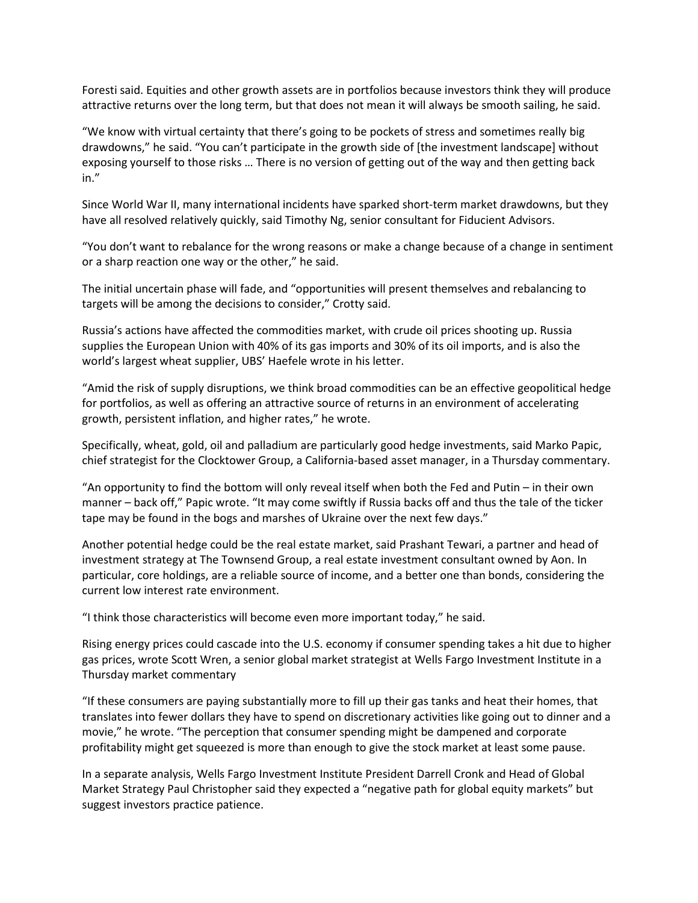Foresti said. Equities and other growth assets are in portfolios because investors think they will produce attractive returns over the long term, but that does not mean it will always be smooth sailing, he said.

"We know with virtual certainty that there's going to be pockets of stress and sometimes really big drawdowns," he said. "You can't participate in the growth side of [the investment landscape] without exposing yourself to those risks … There is no version of getting out of the way and then getting back in."

Since World War II, many international incidents have sparked short-term market drawdowns, but they have all resolved relatively quickly, said Timothy Ng, senior consultant for Fiducient Advisors.

"You don't want to rebalance for the wrong reasons or make a change because of a change in sentiment or a sharp reaction one way or the other," he said.

The initial uncertain phase will fade, and "opportunities will present themselves and rebalancing to targets will be among the decisions to consider," Crotty said.

Russia's actions have affected the commodities market, with crude oil prices shooting up. Russia supplies the European Union with 40% of its gas imports and 30% of its oil imports, and is also the world's largest wheat supplier, UBS' Haefele wrote in his letter.

"Amid the risk of supply disruptions, we think broad commodities can be an effective geopolitical hedge for portfolios, as well as offering an attractive source of returns in an environment of accelerating growth, persistent inflation, and higher rates," he wrote.

Specifically, wheat, gold, oil and palladium are particularly good hedge investments, said Marko Papic, chief strategist for the Clocktower Group, a California-based asset manager, in a Thursday commentary.

"An opportunity to find the bottom will only reveal itself when both the Fed and Putin – in their own manner – back off," Papic wrote. "It may come swiftly if Russia backs off and thus the tale of the ticker tape may be found in the bogs and marshes of Ukraine over the next few days."

Another potential hedge could be the real estate market, said Prashant Tewari, a partner and head of investment strategy at The Townsend Group, a real estate investment consultant owned by Aon. In particular, core holdings, are a reliable source of income, and a better one than bonds, considering the current low interest rate environment.

"I think those characteristics will become even more important today," he said.

Rising energy prices could cascade into the U.S. economy if consumer spending takes a hit due to higher gas prices, wrote Scott Wren, a senior global market strategist at Wells Fargo Investment Institute in a Thursday market commentary

"If these consumers are paying substantially more to fill up their gas tanks and heat their homes, that translates into fewer dollars they have to spend on discretionary activities like going out to dinner and a movie," he wrote. "The perception that consumer spending might be dampened and corporate profitability might get squeezed is more than enough to give the stock market at least some pause.

In a separate analysis, Wells Fargo Investment Institute President Darrell Cronk and Head of Global Market Strategy Paul Christopher said they expected a "negative path for global equity markets" but suggest investors practice patience.